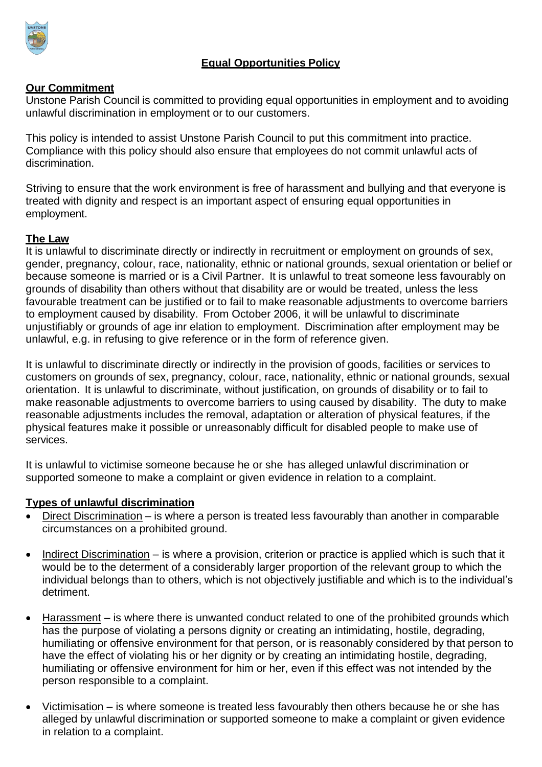

# **Equal Opportunities Policy**

### **Our Commitment**

Unstone Parish Council is committed to providing equal opportunities in employment and to avoiding unlawful discrimination in employment or to our customers.

This policy is intended to assist Unstone Parish Council to put this commitment into practice. Compliance with this policy should also ensure that employees do not commit unlawful acts of discrimination.

Striving to ensure that the work environment is free of harassment and bullying and that everyone is treated with dignity and respect is an important aspect of ensuring equal opportunities in employment.

### **The Law**

It is unlawful to discriminate directly or indirectly in recruitment or employment on grounds of sex, gender, pregnancy, colour, race, nationality, ethnic or national grounds, sexual orientation or belief or because someone is married or is a Civil Partner. It is unlawful to treat someone less favourably on grounds of disability than others without that disability are or would be treated, unless the less favourable treatment can be justified or to fail to make reasonable adjustments to overcome barriers to employment caused by disability. From October 2006, it will be unlawful to discriminate unjustifiably or grounds of age inr elation to employment. Discrimination after employment may be unlawful, e.g. in refusing to give reference or in the form of reference given.

It is unlawful to discriminate directly or indirectly in the provision of goods, facilities or services to customers on grounds of sex, pregnancy, colour, race, nationality, ethnic or national grounds, sexual orientation. It is unlawful to discriminate, without justification, on grounds of disability or to fail to make reasonable adjustments to overcome barriers to using caused by disability. The duty to make reasonable adjustments includes the removal, adaptation or alteration of physical features, if the physical features make it possible or unreasonably difficult for disabled people to make use of services.

It is unlawful to victimise someone because he or she has alleged unlawful discrimination or supported someone to make a complaint or given evidence in relation to a complaint.

### **Types of unlawful discrimination**

- Direct Discrimination is where a person is treated less favourably than another in comparable circumstances on a prohibited ground.
- Indirect Discrimination is where a provision, criterion or practice is applied which is such that it would be to the determent of a considerably larger proportion of the relevant group to which the individual belongs than to others, which is not objectively justifiable and which is to the individual's detriment.
- Harassment is where there is unwanted conduct related to one of the prohibited grounds which has the purpose of violating a persons dignity or creating an intimidating, hostile, degrading, humiliating or offensive environment for that person, or is reasonably considered by that person to have the effect of violating his or her dignity or by creating an intimidating hostile, degrading, humiliating or offensive environment for him or her, even if this effect was not intended by the person responsible to a complaint.
- Victimisation is where someone is treated less favourably then others because he or she has alleged by unlawful discrimination or supported someone to make a complaint or given evidence in relation to a complaint.